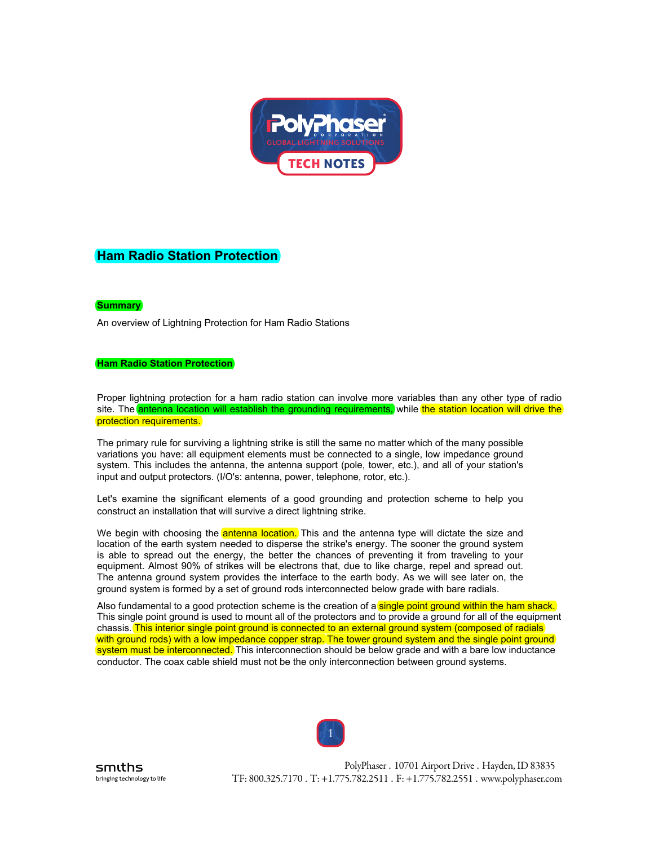

# **Ham Radio Station Protection**

# **Summary**

An overview of Lightning Protection for Ham Radio Stations

## **Ham Radio Station Protection**

Proper lightning protection for a ham radio station can involve more variables than any other type of radio site. The antenna location will establish the grounding requirements, while the station location will drive the protection requirements.

The primary rule for surviving a lightning strike is still the same no matter which of the many possible variations you have: all equipment elements must be connected to a single, low impedance ground system. This includes the antenna, the antenna support (pole, tower, etc.), and all of your station's input and output protectors. (I/O's: antenna, power, telephone, rotor, etc.).

Let's examine the significant elements of a good grounding and protection scheme to help you construct an installation that will survive a direct lightning strike.

We begin with choosing the antenna location. This and the antenna type will dictate the size and location of the earth system needed to disperse the strike's energy. The sooner the ground system is able to spread out the energy, the better the chances of preventing it from traveling to your equipment. Almost 90% of strikes will be electrons that, due to like charge, repel and spread out. The antenna ground system provides the interface to the earth body. As we will see later on, the ground system is formed by a set of ground rods interconnected below grade with bare radials.

Also fundamental to a good protection scheme is the creation of a single point ground within the ham shack. This single point ground is used to mount all of the protectors and to provide a ground for all of the equipment chassis. This interior single point ground is connected to an external ground system (composed of radials) with ground rods) with a low impedance copper strap. The tower ground system and the single point ground system must be interconnected. This interconnection should be below grade and with a bare low inductance conductor. The coax cable shield must not be the only interconnection between ground systems.

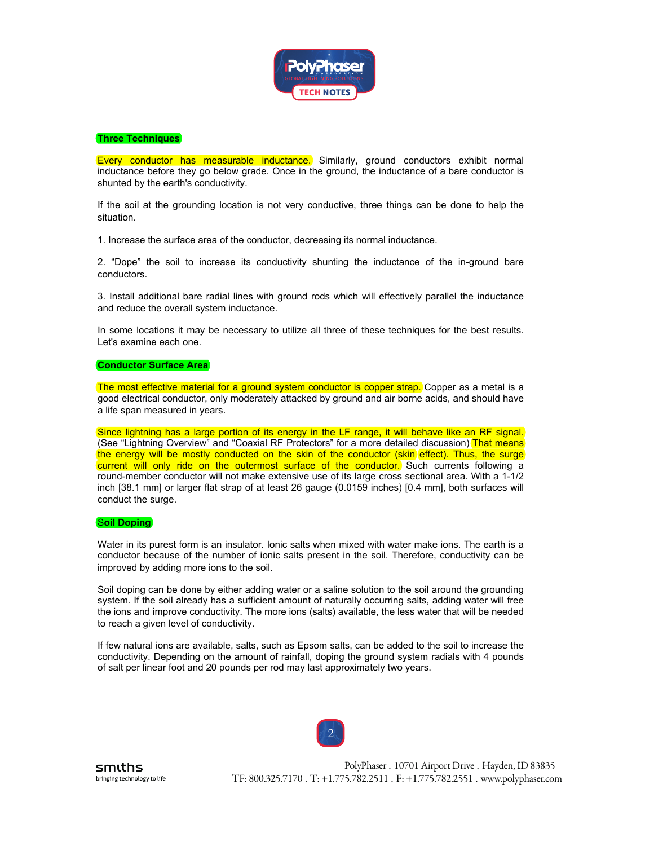

# **Three Techniques**

Every conductor has measurable inductance. Similarly, ground conductors exhibit normal inductance before they go below grade. Once in the ground, the inductance of a bare conductor is shunted by the earth's conductivity.

If the soil at the grounding location is not very conductive, three things can be done to help the situation.

1. Increase the surface area of the conductor, decreasing its normal inductance.

2. "Dope" the soil to increase its conductivity shunting the inductance of the in-ground bare conductors.

3. Install additional bare radial lines with ground rods which will effectively parallel the inductance and reduce the overall system inductance.

In some locations it may be necessary to utilize all three of these techniques for the best results. Let's examine each one.

## **Conductor Surface Area**

The most effective material for a ground system conductor is copper strap.) Copper as a metal is a good electrical conductor, only moderately attacked by ground and air borne acids, and should have a life span measured in years.

Since lightning has a large portion of its energy in the LF range, it will behave like an RF signal. (See "Lightning Overview" and "Coaxial RF Protectors" for a more detailed discussion) That means the energy will be mostly conducted on the skin of the conductor ( $\frac{\delta}{\delta}$ kin effect). Thus, the surge current will only ride on the outermost surface of the conductor. Such currents following a round-member conductor will not make extensive use of its large cross sectional area. With a 1-1/2 inch [38.1 mm] or larger flat strap of at least 26 gauge (0.0159 inches) [0.4 mm], both surfaces will conduct the surge.

#### S**oil Doping**

Water in its purest form is an insulator. Ionic salts when mixed with water make ions. The earth is a conductor because of the number of ionic salts present in the soil. Therefore, conductivity can be improved by adding more ions to the soil.

Soil doping can be done by either adding water or a saline solution to the soil around the grounding system. If the soil already has a sufficient amount of naturally occurring salts, adding water will free the ions and improve conductivity. The more ions (salts) available, the less water that will be needed to reach a given level of conductivity.

If few natural ions are available, salts, such as Epsom salts, can be added to the soil to increase the conductivity. Depending on the amount of rainfall, doping the ground system radials with 4 pounds of salt per linear foot and 20 pounds per rod may last approximately two years.

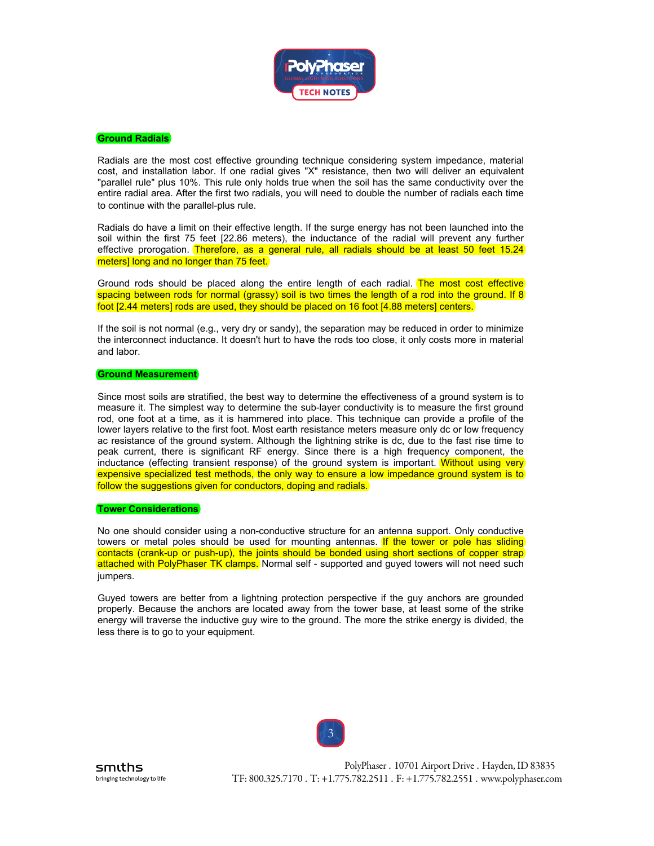

## **Ground Radials**

Radials are the most cost effective grounding technique considering system impedance, material cost, and installation labor. If one radial gives "X" resistance, then two will deliver an equivalent "parallel rule" plus 10%. This rule only holds true when the soil has the same conductivity over the entire radial area. After the first two radials, you will need to double the number of radials each time to continue with the parallel-plus rule.

Radials do have a limit on their effective length. If the surge energy has not been launched into the soil within the first 75 feet [22.86 meters), the inductance of the radial will prevent any further effective prorogation. Therefore, as a general rule, all radials should be at least 50 feet 15.24) meters] long and no longer than 75 feet.

Ground rods should be placed along the entire length of each radial. (The most cost effective) spacing between rods for normal (grassy) soil is two times the length of a rod into the ground. If 8) foot [2.44 meters] rods are used, they should be placed on 16 foot [4.88 meters] centers.

If the soil is not normal (e.g., very dry or sandy), the separation may be reduced in order to minimize the interconnect inductance. It doesn't hurt to have the rods too close, it only costs more in material and labor.

## **Ground Measurement**

Since most soils are stratified, the best way to determine the effectiveness of a ground system is to measure it. The simplest way to determine the sub-layer conductivity is to measure the first ground rod, one foot at a time, as it is hammered into place. This technique can provide a profile of the lower layers relative to the first foot. Most earth resistance meters measure only dc or low frequency ac resistance of the ground system. Although the lightning strike is dc, due to the fast rise time to peak current, there is significant RF energy. Since there is a high frequency component, the inductance (effecting transient response) of the ground system is important. Without using very expensive specialized test methods, the only way to ensure a low impedance ground system is to follow the suggestions given for conductors, doping and radials.

#### **Tower Considerations**

No one should consider using a non-conductive structure for an antenna support. Only conductive towers or metal poles should be used for mounting antennas. If the tower or pole has sliding contacts (crank-up or push-up), the joints should be bonded using short sections of copper strap attached with PolyPhaser TK clamps. Normal self - supported and guyed towers will not need such jumpers.

Guyed towers are better from a lightning protection perspective if the guy anchors are grounded properly. Because the anchors are located away from the tower base, at least some of the strike energy will traverse the inductive guy wire to the ground. The more the strike energy is divided, the less there is to go to your equipment.

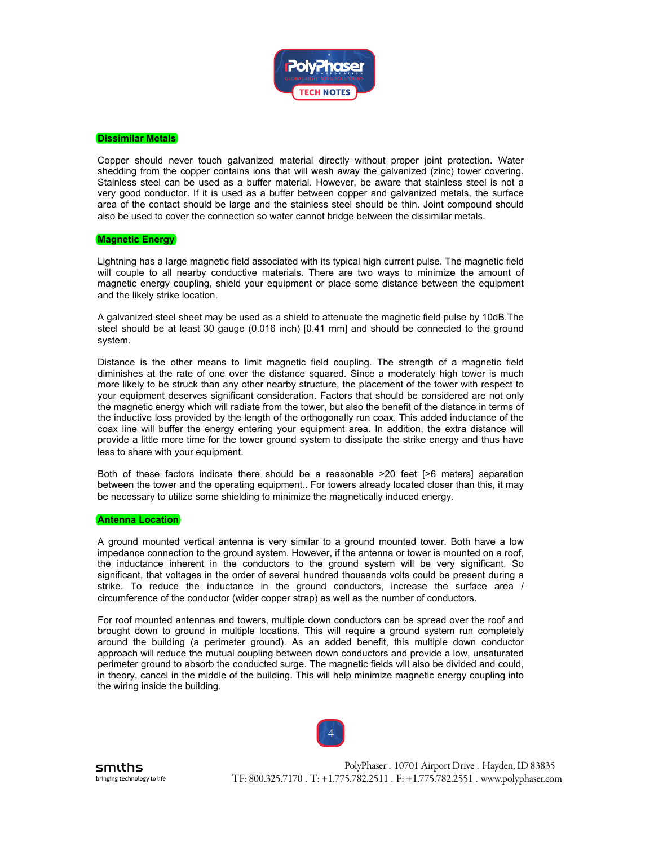

#### **Dissimilar Metals**

Copper should never touch galvanized material directly without proper joint protection. Water shedding from the copper contains ions that will wash away the galvanized (zinc) tower covering. Stainless steel can be used as a buffer material. However, be aware that stainless steel is not a very good conductor. If it is used as a buffer between copper and galvanized metals, the surface area of the contact should be large and the stainless steel should be thin. Joint compound should also be used to cover the connection so water cannot bridge between the dissimilar metals.

#### **Magnetic Energy**

Lightning has a large magnetic field associated with its typical high current pulse. The magnetic field will couple to all nearby conductive materials. There are two ways to minimize the amount of magnetic energy coupling, shield your equipment or place some distance between the equipment and the likely strike location.

A galvanized steel sheet may be used as a shield to attenuate the magnetic field pulse by 10dB.The steel should be at least 30 gauge (0.016 inch) [0.41 mm] and should be connected to the ground system.

Distance is the other means to limit magnetic field coupling. The strength of a magnetic field diminishes at the rate of one over the distance squared. Since a moderately high tower is much more likely to be struck than any other nearby structure, the placement of the tower with respect to your equipment deserves significant consideration. Factors that should be considered are not only the magnetic energy which will radiate from the tower, but also the benefit of the distance in terms of the inductive loss provided by the length of the orthogonally run coax. This added inductance of the coax line will buffer the energy entering your equipment area. In addition, the extra distance will provide a little more time for the tower ground system to dissipate the strike energy and thus have less to share with your equipment.

Both of these factors indicate there should be a reasonable >20 feet [>6 meters] separation between the tower and the operating equipment.. For towers already located closer than this, it may be necessary to utilize some shielding to minimize the magnetically induced energy.

#### **Antenna Location**

A ground mounted vertical antenna is very similar to a ground mounted tower. Both have a low impedance connection to the ground system. However, if the antenna or tower is mounted on a roof, the inductance inherent in the conductors to the ground system will be very significant. So significant, that voltages in the order of several hundred thousands volts could be present during a strike. To reduce the inductance in the ground conductors, increase the surface area / circumference of the conductor (wider copper strap) as well as the number of conductors.

For roof mounted antennas and towers, multiple down conductors can be spread over the roof and brought down to ground in multiple locations. This will require a ground system run completely around the building (a perimeter ground). As an added benefit, this multiple down conductor approach will reduce the mutual coupling between down conductors and provide a low, unsaturated perimeter ground to absorb the conducted surge. The magnetic fields will also be divided and could, in theory, cancel in the middle of the building. This will help minimize magnetic energy coupling into the wiring inside the building.

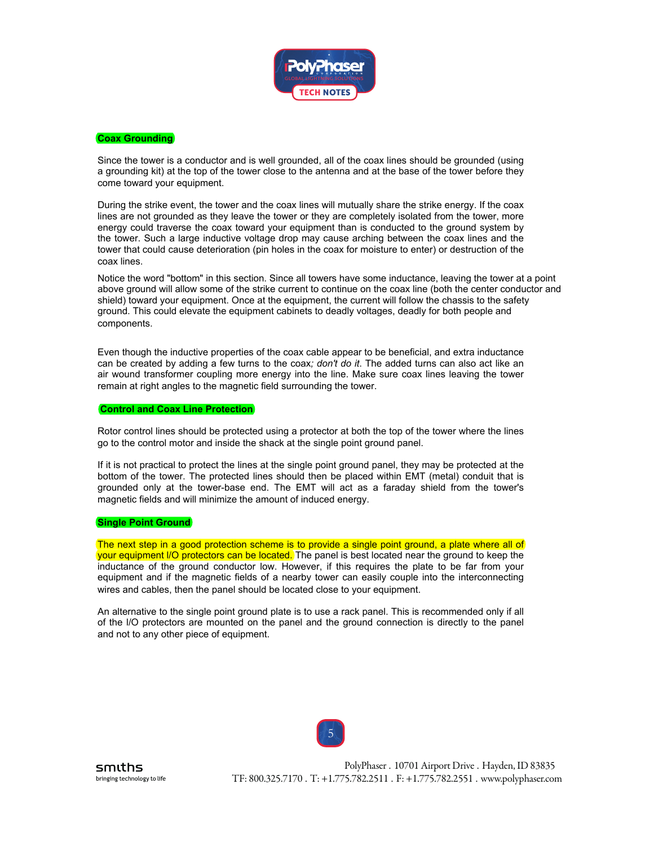

# **Coax Grounding**

Since the tower is a conductor and is well grounded, all of the coax lines should be grounded (using a grounding kit) at the top of the tower close to the antenna and at the base of the tower before they come toward your equipment.

During the strike event, the tower and the coax lines will mutually share the strike energy. If the coax lines are not grounded as they leave the tower or they are completely isolated from the tower, more energy could traverse the coax toward your equipment than is conducted to the ground system by the tower. Such a large inductive voltage drop may cause arching between the coax lines and the tower that could cause deterioration (pin holes in the coax for moisture to enter) or destruction of the coax lines.

Notice the word "bottom" in this section. Since all towers have some inductance, leaving the tower at a point above ground will allow some of the strike current to continue on the coax line (both the center conductor and shield) toward your equipment. Once at the equipment, the current will follow the chassis to the safety ground. This could elevate the equipment cabinets to deadly voltages, deadly for both people and components.

Even though the inductive properties of the coax cable appear to be beneficial, and extra inductance can be created by adding a few turns to the coax*; don't do it*. The added turns can also act like an air wound transformer coupling more energy into the line. Make sure coax lines leaving the tower remain at right angles to the magnetic field surrounding the tower.

#### **Control and Coax Line Protection**

Rotor control lines should be protected using a protector at both the top of the tower where the lines go to the control motor and inside the shack at the single point ground panel.

If it is not practical to protect the lines at the single point ground panel, they may be protected at the bottom of the tower. The protected lines should then be placed within EMT (metal) conduit that is grounded only at the tower-base end. The EMT will act as a faraday shield from the tower's magnetic fields and will minimize the amount of induced energy.

#### **Single Point Ground**

The next step in a good protection scheme is to provide a single point ground, a plate where all of (your equipment I/O protectors can be located.) The panel is best located near the ground to keep the inductance of the ground conductor low. However, if this requires the plate to be far from your equipment and if the magnetic fields of a nearby tower can easily couple into the interconnecting wires and cables, then the panel should be located close to your equipment.

An alternative to the single point ground plate is to use a rack panel. This is recommended only if all of the l/O protectors are mounted on the panel and the ground connection is directly to the panel and not to any other piece of equipment.

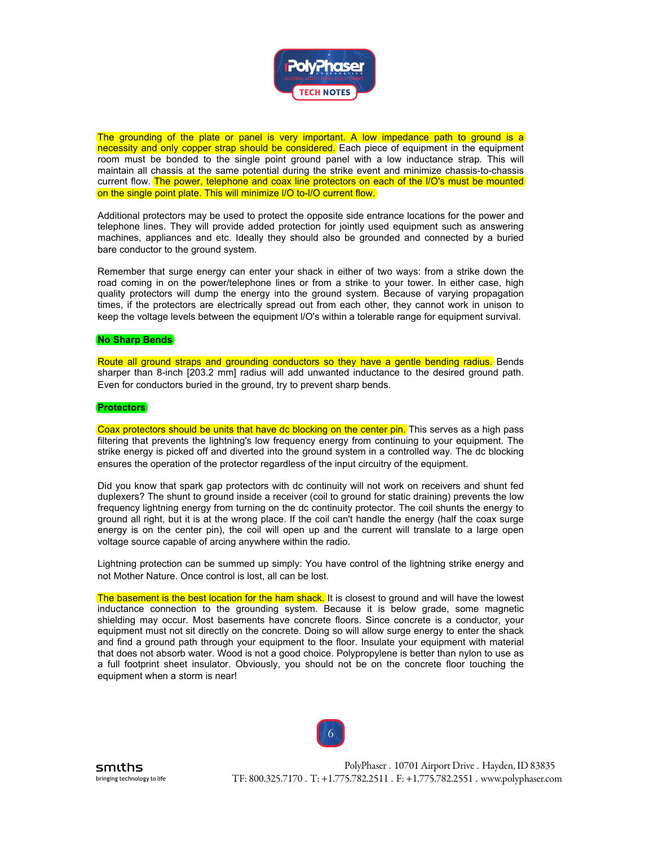

The grounding of the plate or panel is very important. A low impedance path to ground is a necessity and only copper strap should be considered. Each piece of equipment in the equipment room must be bonded to the single point ground panel with a low inductance strap. This will maintain all chassis at the same potential during the strike event and minimize chassis-to-chassis current flow. The power, telephone and coax line protectors on each of the I/O's must be mounted) on the single point plate. This will minimize l/O to-l/O current flow.

Additional protectors may be used to protect the opposite side entrance locations for the power and telephone lines. They will provide added protection for jointly used equipment such as answering machines, appliances and etc. Ideally they should also be grounded and connected by a buried bare conductor to the ground system.

Remember that surge energy can enter your shack in either of two ways: from a strike down the road coming in on the power/telephone lines or from a strike to your tower. In either case, high quality protectors will dump the energy into the ground system. Because of varying propagation times, if the protectors are electrically spread out from each other, they cannot work in unison to keep the voltage levels between the equipment l/O's within a tolerable range for equipment survival.

#### **No Sharp Bends**

Route all ground straps and grounding conductors so they have a gentle bending radius.) Bends sharper than 8-inch [203.2 mm] radius will add unwanted inductance to the desired ground path. Even for conductors buried in the ground, try to prevent sharp bends.

#### **Protectors**

Coax protectors should be units that have dc blocking on the center pin. This serves as a high pass filtering that prevents the lightning's low frequency energy from continuing to your equipment. The strike energy is picked off and diverted into the ground system in a controlled way. The dc blocking ensures the operation of the protector regardless of the input circuitry of the equipment.

Did you know that spark gap protectors with dc continuity will not work on receivers and shunt fed duplexers? The shunt to ground inside a receiver (coil to ground for static draining) prevents the low frequency lightning energy from turning on the dc continuity protector. The coil shunts the energy to ground all right, but it is at the wrong place. If the coil can't handle the energy (half the coax surge energy is on the center pin), the coil will open up and the current will translate to a large open voltage source capable of arcing anywhere within the radio.

Lightning protection can be summed up simply: You have control of the lightning strike energy and not Mother Nature. Once control is lost, all can be lost.

The basement is the best location for the ham shack. It is closest to ground and will have the lowest inductance connection to the grounding system. Because it is below grade, some magnetic shielding may occur. Most basements have concrete floors. Since concrete is a conductor, your equipment must not sit directly on the concrete. Doing so will allow surge energy to enter the shack and find a ground path through your equipment to the floor. Insulate your equipment with material that does not absorb water. Wood is not a good choice. Polypropylene is better than nylon to use as a full footprint sheet insulator. Obviously, you should not be on the concrete floor touching the equipment when a storm is near!

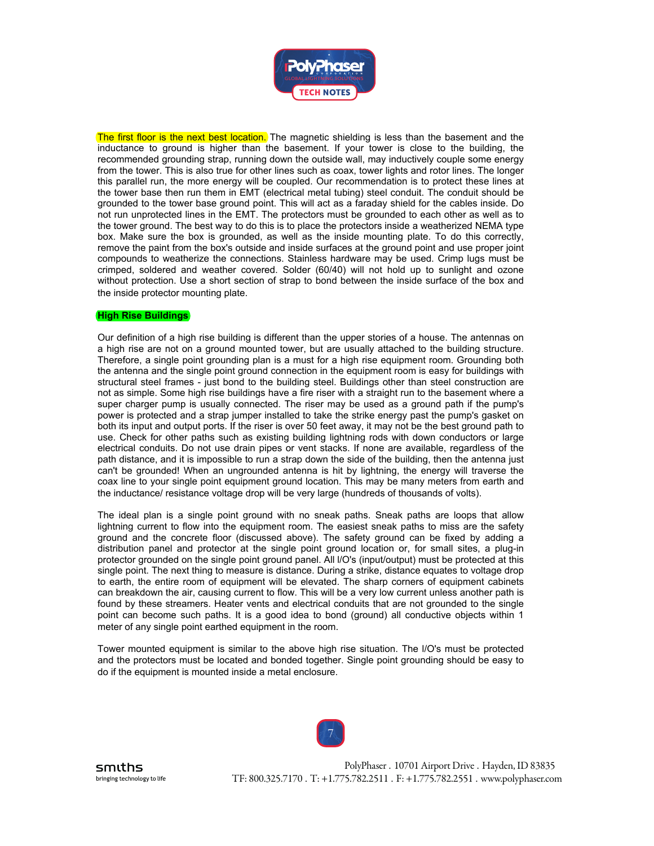

The first floor is the next best location. The magnetic shielding is less than the basement and the inductance to ground is higher than the basement. If your tower is close to the building, the recommended grounding strap, running down the outside wall, may inductively couple some energy from the tower. This is also true for other lines such as coax, tower lights and rotor lines. The longer this parallel run, the more energy will be coupled. Our recommendation is to protect these lines at the tower base then run them in EMT (electrical metal tubing) steel conduit. The conduit should be grounded to the tower base ground point. This will act as a faraday shield for the cables inside. Do not run unprotected lines in the EMT. The protectors must be grounded to each other as well as to the tower ground. The best way to do this is to place the protectors inside a weatherized NEMA type box. Make sure the box is grounded, as well as the inside mounting plate. To do this correctly, remove the paint from the box's outside and inside surfaces at the ground point and use proper joint compounds to weatherize the connections. Stainless hardware may be used. Crimp lugs must be crimped, soldered and weather covered. Solder (60/40) will not hold up to sunlight and ozone without protection. Use a short section of strap to bond between the inside surface of the box and the inside protector mounting plate.

## **High Rise Buildings**

Our definition of a high rise building is different than the upper stories of a house. The antennas on a high rise are not on a ground mounted tower, but are usually attached to the building structure. Therefore, a single point grounding plan is a must for a high rise equipment room. Grounding both the antenna and the single point ground connection in the equipment room is easy for buildings with structural steel frames - just bond to the building steel. Buildings other than steel construction are not as simple. Some high rise buildings have a fire riser with a straight run to the basement where a super charger pump is usually connected. The riser may be used as a ground path if the pump's power is protected and a strap jumper installed to take the strike energy past the pump's gasket on both its input and output ports. If the riser is over 50 feet away, it may not be the best ground path to use. Check for other paths such as existing building lightning rods with down conductors or large electrical conduits. Do not use drain pipes or vent stacks. If none are available, regardless of the path distance, and it is impossible to run a strap down the side of the building, then the antenna just can't be grounded! When an ungrounded antenna is hit by lightning, the energy will traverse the coax line to your single point equipment ground location. This may be many meters from earth and the inductance/ resistance voltage drop will be very large (hundreds of thousands of volts).

The ideal plan is a single point ground with no sneak paths. Sneak paths are loops that allow lightning current to flow into the equipment room. The easiest sneak paths to miss are the safety ground and the concrete floor (discussed above). The safety ground can be fixed by adding a distribution panel and protector at the single point ground location or, for small sites, a plug-in protector grounded on the single point ground panel. All l/O's (input/output) must be protected at this single point. The next thing to measure is distance. During a strike, distance equates to voltage drop to earth, the entire room of equipment will be elevated. The sharp corners of equipment cabinets can breakdown the air, causing current to flow. This will be a very low current unless another path is found by these streamers. Heater vents and electrical conduits that are not grounded to the single point can become such paths. It is a good idea to bond (ground) all conductive objects within 1 meter of any single point earthed equipment in the room.

Tower mounted equipment is similar to the above high rise situation. The l/O's must be protected and the protectors must be located and bonded together. Single point grounding should be easy to do if the equipment is mounted inside a metal enclosure.



smiths bringing technology to life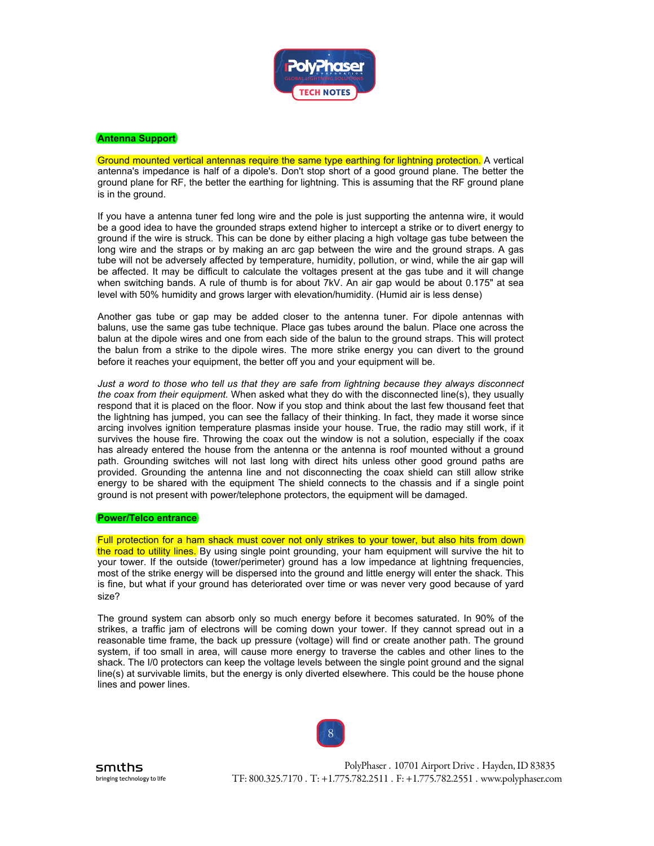

# **Antenna Support**

Ground mounted vertical antennas require the same type earthing for lightning protection. A vertical antenna's impedance is half of a dipole's. Don't stop short of a good ground plane. The better the ground plane for RF, the better the earthing for lightning. This is assuming that the RF ground plane is in the ground.

If you have a antenna tuner fed long wire and the pole is just supporting the antenna wire, it would be a good idea to have the grounded straps extend higher to intercept a strike or to divert energy to ground if the wire is struck. This can be done by either placing a high voltage gas tube between the long wire and the straps or by making an arc gap between the wire and the ground straps. A gas tube will not be adversely affected by temperature, humidity, pollution, or wind, while the air gap will be affected. It may be difficult to calculate the voltages present at the gas tube and it will change when switching bands. A rule of thumb is for about 7kV. An air gap would be about 0.175" at sea level with 50% humidity and grows larger with elevation/humidity. (Humid air is less dense)

Another gas tube or gap may be added closer to the antenna tuner. For dipole antennas with baluns, use the same gas tube technique. Place gas tubes around the balun. Place one across the balun at the dipole wires and one from each side of the balun to the ground straps. This will protect the balun from a strike to the dipole wires. The more strike energy you can divert to the ground before it reaches your equipment, the better off you and your equipment will be.

*Just a word to those who tell us that they are safe from lightning because they always disconnect the coax from their equipment.* When asked what they do with the disconnected line(s), they usually respond that it is placed on the floor. Now if you stop and think about the last few thousand feet that the lightning has jumped, you can see the fallacy of their thinking. In fact, they made it worse since arcing involves ignition temperature plasmas inside your house. True, the radio may still work, if it survives the house fire. Throwing the coax out the window is not a solution, especially if the coax has already entered the house from the antenna or the antenna is roof mounted without a ground path. Grounding switches will not last long with direct hits unless other good ground paths are provided. Grounding the antenna line and not disconnecting the coax shield can still allow strike energy to be shared with the equipment The shield connects to the chassis and if a single point ground is not present with power/telephone protectors, the equipment will be damaged.

# **Power/Telco entrance**

Full protection for a ham shack must cover not only strikes to your tower, but also hits from down (the road to utility lines.) By using single point grounding, your ham equipment will survive the hit to your tower. If the outside (tower/perimeter) ground has a low impedance at lightning frequencies, most of the strike energy will be dispersed into the ground and little energy will enter the shack. This is fine, but what if your ground has deteriorated over time or was never very good because of yard size?

The ground system can absorb only so much energy before it becomes saturated. In 90% of the strikes, a traffic jam of electrons will be coming down your tower. If they cannot spread out in a reasonable time frame, the back up pressure (voltage) will find or create another path. The ground system, if too small in area, will cause more energy to traverse the cables and other lines to the shack. The I/0 protectors can keep the voltage levels between the single point ground and the signal line(s) at survivable limits, but the energy is only diverted elsewhere. This could be the house phone lines and power lines.



smiths bringing technology to life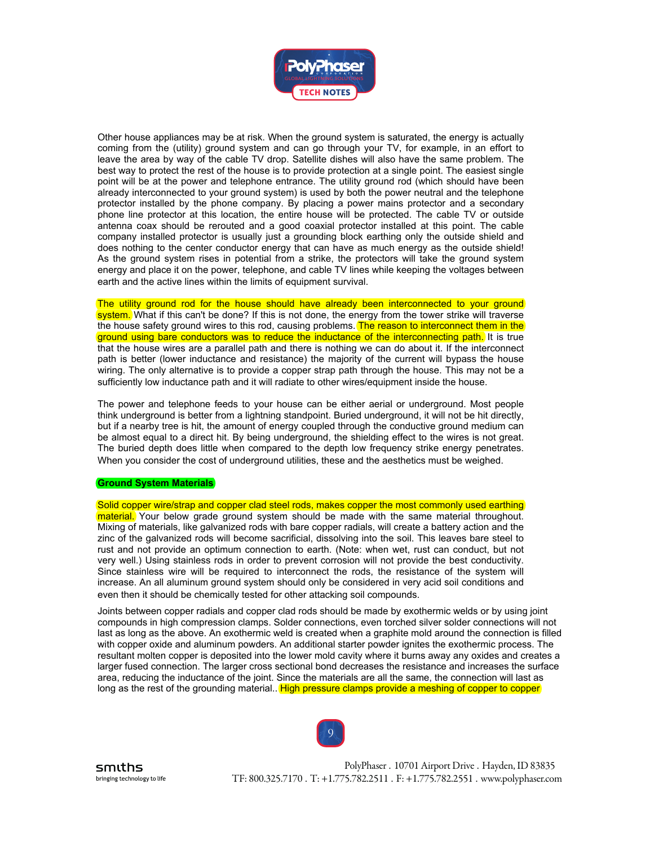

Other house appliances may be at risk. When the ground system is saturated, the energy is actually coming from the (utility) ground system and can go through your TV, for example, in an effort to leave the area by way of the cable TV drop. Satellite dishes will also have the same problem. The best way to protect the rest of the house is to provide protection at a single point. The easiest single point will be at the power and telephone entrance. The utility ground rod (which should have been already interconnected to your ground system) is used by both the power neutral and the telephone protector installed by the phone company. By placing a power mains protector and a secondary phone line protector at this location, the entire house will be protected. The cable TV or outside antenna coax should be rerouted and a good coaxial protector installed at this point. The cable company installed protector is usually just a grounding block earthing only the outside shield and does nothing to the center conductor energy that can have as much energy as the outside shield! As the ground system rises in potential from a strike, the protectors will take the ground system energy and place it on the power, telephone, and cable TV lines while keeping the voltages between earth and the active lines within the limits of equipment survival.

The utility ground rod for the house should have already been interconnected to your ground) system. What if this can't be done? If this is not done, the energy from the tower strike will traverse the house safety ground wires to this rod, causing problems. The reason to interconnect them in the ground using bare conductors was to reduce the inductance of the interconnecting path. It is true that the house wires are a parallel path and there is nothing we can do about it. If the interconnect path is better (lower inductance and resistance) the majority of the current will bypass the house wiring. The only alternative is to provide a copper strap path through the house. This may not be a sufficiently low inductance path and it will radiate to other wires/equipment inside the house.

The power and telephone feeds to your house can be either aerial or underground. Most people think underground is better from a lightning standpoint. Buried underground, it will not be hit directly, but if a nearby tree is hit, the amount of energy coupled through the conductive ground medium can be almost equal to a direct hit. By being underground, the shielding effect to the wires is not great. The buried depth does little when compared to the depth low frequency strike energy penetrates. When you consider the cost of underground utilities, these and the aesthetics must be weighed.

## **Ground System Materials**

Solid copper wire/strap and copper clad steel rods, makes copper the most commonly used earthing material. Your below grade ground system should be made with the same material throughout. Mixing of materials, like galvanized rods with bare copper radials, will create a battery action and the zinc of the galvanized rods will become sacrificial, dissolving into the soil. This leaves bare steel to rust and not provide an optimum connection to earth. (Note: when wet, rust can conduct, but not very well.) Using stainless rods in order to prevent corrosion will not provide the best conductivity. Since stainless wire will be required to interconnect the rods, the resistance of the system will increase. An all aluminum ground system should only be considered in very acid soil conditions and even then it should be chemically tested for other attacking soil compounds.

Joints between copper radials and copper clad rods should be made by exothermic welds or by using joint compounds in high compression clamps. Solder connections, even torched silver solder connections will not last as long as the above. An exothermic weld is created when a graphite mold around the connection is filled with copper oxide and aluminum powders. An additional starter powder ignites the exothermic process. The resultant molten copper is deposited into the lower mold cavity where it burns away any oxides and creates a larger fused connection. The larger cross sectional bond decreases the resistance and increases the surface area, reducing the inductance of the joint. Since the materials are all the same, the connection will last as long as the rest of the grounding material. (High pressure clamps provide a meshing of copper to copper)



smiths bringing technology to life